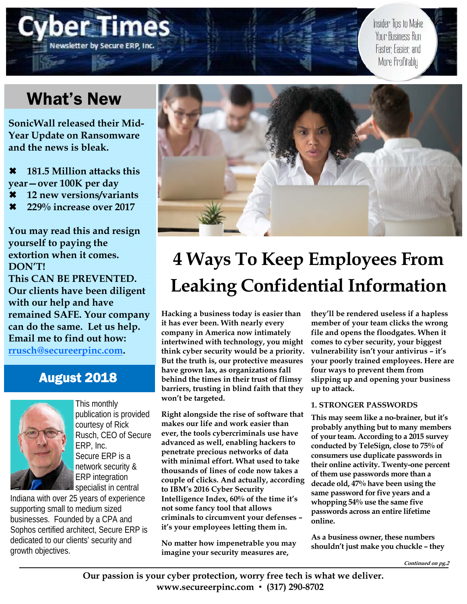# What's New

**Jewsletter by Secure ERP** 

**SonicWall released their Mid-Year Update on Ransomware and the news is bleak.** 

 **181.5 Million attacks this year—over 100K per day** 

- **12 new versions/variants**
- **229% increase over 2017**

**You may read this and resign yourself to paying the extortion when it comes. DON'T! This CAN BE PREVENTED. Our clients have been diligent with our help and have remained SAFE. Your company can do the same. Let us help. Email me to find out how: rrusch@secureerpinc.com.** 

### August 2018



This monthly publication is provided courtesy of Rick Rusch, CEO of Secure ERP, Inc. Secure ERP is a network security & ERP integration specialist in central

Indiana with over 25 years of experience supporting small to medium sized businesses. Founded by a CPA and Sophos certified architect, Secure ERP is dedicated to our clients' security and growth objectives.



# **4 Ways To Keep Employees From Leaking Confidential Information**

**Hacking a business today is easier than it has ever been. With nearly every company in America now intimately intertwined with technology, you might think cyber security would be a priority. But the truth is, our protective measures have grown lax, as organizations fall behind the times in their trust of flimsy barriers, trusting in blind faith that they won't be targeted.** 

**Right alongside the rise of software that makes our life and work easier than ever, the tools cybercriminals use have advanced as well, enabling hackers to penetrate precious networks of data with minimal effort. What used to take thousands of lines of code now takes a couple of clicks. And actually, according to IBM's 2016 Cyber Security Intelligence Index, 60% of the time it's not some fancy tool that allows criminals to circumvent your defenses – it's your employees letting them in.** 

**No matter how impenetrable you may imagine your security measures are,** 

**they'll be rendered useless if a hapless member of your team clicks the wrong file and opens the floodgates. When it comes to cyber security, your biggest vulnerability isn't your antivirus – it's your poorly trained employees. Here are four ways to prevent them from slipping up and opening your business up to attack.** 

Insider Tips to Make Your Business Run

Faster Easier and More Profitably

### **1. STRONGER PASSWORDS**

**This may seem like a no-brainer, but it's probably anything but to many members of your team. According to a 2015 survey conducted by TeleSign, close to 75% of consumers use duplicate passwords in their online activity. Twenty-one percent of them use passwords more than a decade old, 47% have been using the same password for five years and a whopping 54% use the same five passwords across an entire lifetime online.** 

**As a business owner, these numbers shouldn't just make you chuckle – they**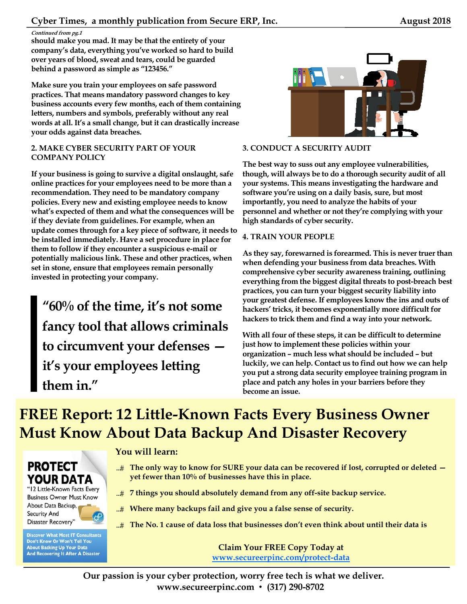**should make you mad. It may be that the entirety of your company's data, everything you've worked so hard to build over years of blood, sweat and tears, could be guarded behind a password as simple as "123456."** 

**Make sure you train your employees on safe password practices. That means mandatory password changes to key business accounts every few months, each of them containing letters, numbers and symbols, preferably without any real words at all. It's a small change, but it can drastically increase your odds against data breaches.** 

### **2. MAKE CYBER SECURITY PART OF YOUR COMPANY POLICY**

**If your business is going to survive a digital onslaught, safe online practices for your employees need to be more than a recommendation. They need to be mandatory company policies. Every new and existing employee needs to know what's expected of them and what the consequences will be if they deviate from guidelines. For example, when an update comes through for a key piece of software, it needs to be installed immediately. Have a set procedure in place for them to follow if they encounter a suspicious e-mail or potentially malicious link. These and other practices, when set in stone, ensure that employees remain personally invested in protecting your company.** 

**"60% of the time, it's not some fancy tool that allows criminals to circumvent your defenses it's your employees letting them in."** 



### **3. CONDUCT A SECURITY AUDIT**

**The best way to suss out any employee vulnerabilities, though, will always be to do a thorough security audit of all your systems. This means investigating the hardware and software you're using on a daily basis, sure, but most importantly, you need to analyze the habits of your personnel and whether or not they're complying with your high standards of cyber security.** 

### **4. TRAIN YOUR PEOPLE**

**As they say, forewarned is forearmed. This is never truer than when defending your business from data breaches. With comprehensive cyber security awareness training, outlining everything from the biggest digital threats to post-breach best practices, you can turn your biggest security liability into your greatest defense. If employees know the ins and outs of hackers' tricks, it becomes exponentially more difficult for hackers to trick them and find a way into your network.** 

**With all four of these steps, it can be difficult to determine just how to implement these policies within your organization – much less what should be included – but luckily, we can help. Contact us to find out how we can help you put a strong data security employee training program in place and patch any holes in your barriers before they become an issue.** 

# **FREE Report: 12 Little-Known Facts Every Business Owner Must Know About Data Backup And Disaster Recovery**

### **PROTECT YOUR DATA**

"12 Little-Known Facts Every **Business Owner Must Know** About Data Backup, **Security And** Disaster Recovery'

**Discover What Most IT Consultants** Don't Know Or Won't Tell You **About Backing Up Your Data And Recovering It After A Disaster** 

### **You will learn:**

- **The only way to know for SURE your data can be recovered if lost, corrupted or deleted yet fewer than 10% of businesses have this in place.**
- **7 things you should absolutely demand from any off-site backup service.**
- **Where many backups fail and give you a false sense of security.**
- **The No. 1 cause of data loss that businesses don't even think about until their data is**

**Claim Your FREE Copy Today at www.secureerpinc.com/protect-data**

**Our passion is your cyber protection, worry free tech is what we deliver. www.secureerpinc.com** • **(317) 290-8702**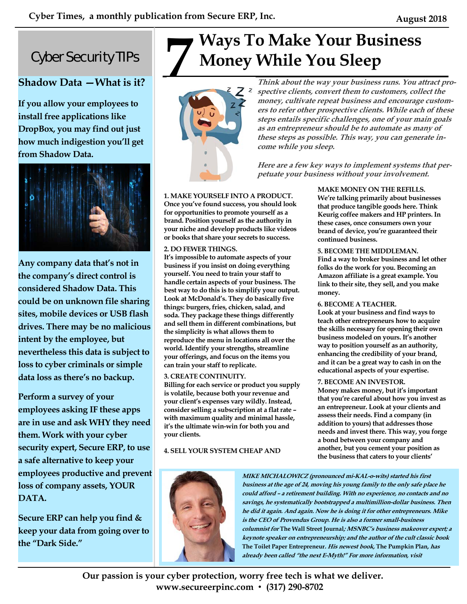## Cyber Security TIPs

### **Shadow Data —What is it?**

**If you allow your employees to install free applications like DropBox, you may find out just how much indigestion you'll get from Shadow Data.** 



**Any company data that's not in the company's direct control is considered Shadow Data. This could be on unknown file sharing sites, mobile devices or USB flash drives. There may be no malicious intent by the employee, but nevertheless this data is subject to loss to cyber criminals or simple data loss as there's no backup.** 

**Perform a survey of your employees asking IF these apps are in use and ask WHY they need them. Work with your cyber security expert, Secure ERP, to use a safe alternative to keep your employees productive and prevent loss of company assets, YOUR DATA.** 

**Secure ERP can help you find & keep your data from going over to the "Dark Side."** 

# **Ways To Make Your Business**<br>Money While You Sleep<br>*Z Z z s spective clients, convert them to customers, coll*



**Think about the way your business runs. You attract prospective clients, convert them to customers, collect the money, cultivate repeat business and encourage customers to refer other prospective clients. While each of these steps entails specific challenges, one of your main goals as an entrepreneur should be to automate as many of these steps as possible. This way, you can generate income while you sleep.** 

**Here are a few key ways to implement systems that perpetuate your business without your involvement.** 

**continued business.** 

**money.** 

**MAKE MONEY ON THE REFILLS. We're talking primarily about businesses that produce tangible goods here. Think Keurig coffee makers and HP printers. In these cases, once consumers own your brand of device, you're guaranteed their** 

**5. BECOME THE MIDDLEMAN.** 

**6. BECOME A TEACHER.** 

**7. BECOME AN INVESTOR.** 

**Find a way to broker business and let other folks do the work for you. Becoming an Amazon affiliate is a great example. You link to their site, they sell, and you make** 

**Look at your business and find ways to teach other entrepreneurs how to acquire the skills necessary for opening their own business modeled on yours. It's another way to position yourself as an authority, enhancing the credibility of your brand, and it can be a great way to cash in on the educational aspects of your expertise.** 

**Money makes money, but it's important that you're careful about how you invest as an entrepreneur. Look at your clients and assess their needs. Find a company (in addition to yours) that addresses those needs and invest there. This way, you forge a bond between your company and another, but you cement your position as the business that caters to your clients'** 

### **1. MAKE YOURSELF INTO A PRODUCT.**

**Once you've found success, you should look for opportunities to promote yourself as a brand. Position yourself as the authority in your niche and develop products like videos or books that share your secrets to success.** 

### **2. DO FEWER THINGS.**

**It's impossible to automate aspects of your business if you insist on doing everything yourself. You need to train your staff to handle certain aspects of your business. The best way to do this is to simplify your output. Look at McDonald's. They do basically five things: burgers, fries, chicken, salad, and soda. They package these things differently and sell them in different combinations, but the simplicity is what allows them to reproduce the menu in locations all over the world. Identify your strengths, streamline your offerings, and focus on the items you can train your staff to replicate.** 

### **3. CREATE CONTINUITY.**

**Billing for each service or product you supply is volatile, because both your revenue and your client's expenses vary wildly. Instead, consider selling a subscription at a flat rate – with maximum quality and minimal hassle, it's the ultimate win-win for both you and your clients.** 

### **4. SELL YOUR SYSTEM CHEAP AND**



**MIKE MICHALOWICZ (pronounced mi-KAL-o-wits) started his first business at the age of 24, moving his young family to the only safe place he could afford – a retirement building. With no experience, no contacts and no savings, he systematically bootstrapped a multimillion-dollar business. Then he did it again. And again. Now he is doing it for other entrepreneurs. Mike is the CEO of Provendus Group. He is also a former small-business columnist for The Wall Street Journal; MSNBC's business makeover expert; a keynote speaker on entrepreneurship; and the author of the cult classic book The Toilet Paper Entrepreneur. His newest book, The Pumpkin Plan, has already been called "the next E-Myth!" For more information, visit** 

**Our passion is your cyber protection, worry free tech is what we deliver. www.secureerpinc.com** • **(317) 290-8702**